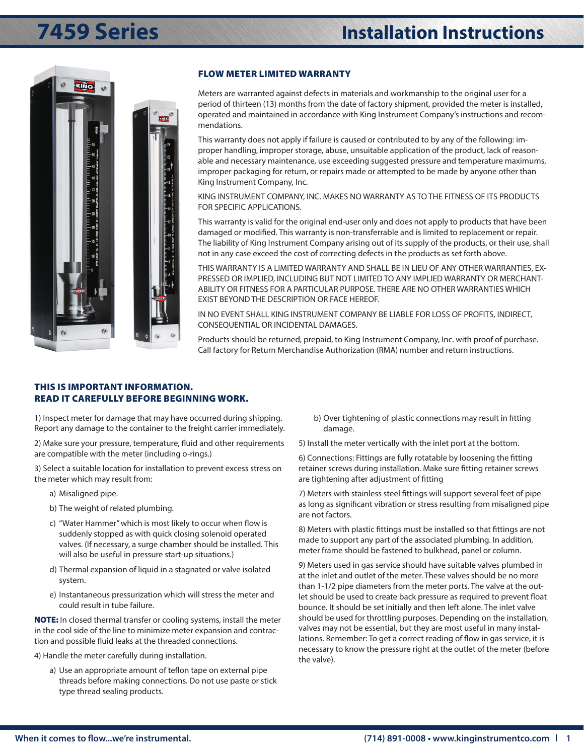



### FLOW METER LIMITED WARRANTY

Meters are warranted against defects in materials and workmanship to the original user for a period of thirteen (13) months from the date of factory shipment, provided the meter is installed, operated and maintained in accordance with King Instrument Company's instructions and recommendations.

This warranty does not apply if failure is caused or contributed to by any of the following: improper handling, improper storage, abuse, unsuitable application of the product, lack of reasonable and necessary maintenance, use exceeding suggested pressure and temperature maximums, improper packaging for return, or repairs made or attempted to be made by anyone other than King Instrument Company, Inc.

KING INSTRUMENT COMPANY, INC. MAKES NO WARRANTY AS TO THE FITNESS OF ITS PRODUCTS FOR SPECIFIC APPLICATIONS.

This warranty is valid for the original end-user only and does not apply to products that have been damaged or modified. This warranty is non-transferrable and is limited to replacement or repair. The liability of King Instrument Company arising out of its supply of the products, or their use, shall not in any case exceed the cost of correcting defects in the products as set forth above.

THIS WARRANTY IS A LIMITED WARRANTY AND SHALL BE IN LIEU OF ANY OTHER WARRANTIES, EX-PRESSED OR IMPLIED, INCLUDING BUT NOT LIMITED TO ANY IMPLIED WARRANTY OR MERCHANT-ABILITY OR FITNESS FOR A PARTICULAR PURPOSE. THERE ARE NO OTHER WARRANTIES WHICH EXIST BEYOND THE DESCRIPTION OR FACE HEREOF.

IN NO EVENT SHALL KING INSTRUMENT COMPANY BE LIABLE FOR LOSS OF PROFITS, INDIRECT, CONSEQUENTIAL OR INCIDENTAL DAMAGES.

Products should be returned, prepaid, to King Instrument Company, Inc. with proof of purchase. Call factory for Return Merchandise Authorization (RMA) number and return instructions.

#### THIS IS IMPORTANT INFORMATION. READ IT CAREFULLY BEFORE BEGINNING WORK.

1) Inspect meter for damage that may have occurred during shipping. Report any damage to the container to the freight carrier immediately.

2) Make sure your pressure, temperature, fluid and other requirements are compatible with the meter (including o-rings.)

3) Select a suitable location for installation to prevent excess stress on the meter which may result from:

- a) Misaligned pipe.
- b) The weight of related plumbing.
- c) "Water Hammer" which is most likely to occur when flow is suddenly stopped as with quick closing solenoid operated valves. (If necessary, a surge chamber should be installed. This will also be useful in pressure start-up situations.)
- d) Thermal expansion of liquid in a stagnated or valve isolated system.
- e) Instantaneous pressurization which will stress the meter and could result in tube failure.

NOTE: In closed thermal transfer or cooling systems, install the meter in the cool side of the line to minimize meter expansion and contraction and possible fluid leaks at the threaded connections.

4) Handle the meter carefully during installation.

a) Use an appropriate amount of teflon tape on external pipe threads before making connections. Do not use paste or stick type thread sealing products.

b) Over tightening of plastic connections may result in fitting damage.

5) Install the meter vertically with the inlet port at the bottom.

6) Connections: Fittings are fully rotatable by loosening the fitting retainer screws during installation. Make sure fitting retainer screws are tightening after adjustment of fitting

7) Meters with stainless steel fittings will support several feet of pipe as long as significant vibration or stress resulting from misaligned pipe are not factors.

8) Meters with plastic fittings must be installed so that fittings are not made to support any part of the associated plumbing. In addition, meter frame should be fastened to bulkhead, panel or column.

9) Meters used in gas service should have suitable valves plumbed in at the inlet and outlet of the meter. These valves should be no more than 1-1/2 pipe diameters from the meter ports. The valve at the outlet should be used to create back pressure as required to prevent float bounce. It should be set initially and then left alone. The inlet valve should be used for throttling purposes. Depending on the installation, valves may not be essential, but they are most useful in many installations. Remember: To get a correct reading of flow in gas service, it is necessary to know the pressure right at the outlet of the meter (before the valve).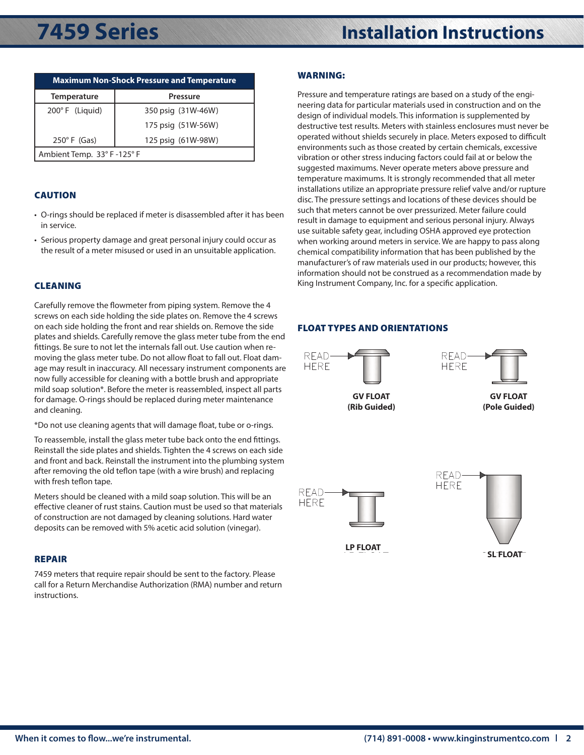| <b>Maximum Non-Shock Pressure and Temperature</b> |                    |
|---------------------------------------------------|--------------------|
| <b>Temperature</b>                                | <b>Pressure</b>    |
| $200^{\circ}$ F (Liquid)                          | 350 psig (31W-46W) |
|                                                   | 175 psig (51W-56W) |
| $250^\circ$ F (Gas)                               | 125 psig (61W-98W) |
| Ambient Temp. 33° F-125° F                        |                    |

### CAUTION

- O-rings should be replaced if meter is disassembled after it has been in service.
- Serious property damage and great personal injury could occur as the result of a meter misused or used in an unsuitable application.

### CLEANING

Carefully remove the flowmeter from piping system. Remove the 4 screws on each side holding the side plates on. Remove the 4 screws on each side holding the front and rear shields on. Remove the side plates and shields. Carefully remove the glass meter tube from the end fittings. Be sure to not let the internals fall out. Use caution when removing the glass meter tube. Do not allow float to fall out. Float damage may result in inaccuracy. All necessary instrument components are now fully accessible for cleaning with a bottle brush and appropriate mild soap solution\*. Before the meter is reassembled, inspect all parts for damage. O-rings should be replaced during meter maintenance and cleaning.  $\mathcal{F}_1$ PHETERS<br>ORIENTATIONS:<br>Contractions: Contractions: Contractions: Contractions: Contractions: Contractions: Contractions: Contractions  $\Gamma$ ne 4

\*Do not use cleaning agents that will damage float, tube or o-rings.

To reassemble, install the glass meter tube back onto the end fittings. Reinstall the side plates and shields. Tighten the 4 screws on each side and front and back. Reinstall the instrument into the plumbing system after removing the old teflon tape (with a wire brush) and replacing with fresh teflon tape.

Meters should be cleaned with a mild soap solution. This will be an effective cleaner of rust stains. Caution must be used so that materials of construction are not damaged by cleaning solutions. Hard water deposits can be removed with 5% acetic acid solution (vinegar).

### REPAIR

7459 meters that require repair should be sent to the factory. Please call for a Return Merchandise Authorization (RMA) number and return instructions.

### WARNING:

Pressure and temperature ratings are based on a study of the engineering data for particular materials used in construction and on the design of individual models. This information is supplemented by destructive test results. Meters with stainless enclosures must never be operated without shields securely in place. Meters exposed to difficult environments such as those created by certain chemicals, excessive vibration or other stress inducing factors could fail at or below the suggested maximums. Never operate meters above pressure and temperature maximums. It is strongly recommended that all meter installations utilize an appropriate pressure relief valve and/or rupture disc. The pressure settings and locations of these devices should be such that meters cannot be over pressurized. Meter failure could result in damage to equipment and serious personal injury. Always use suitable safety gear, including OSHA approved eye protection when working around meters in service. We are happy to pass along chemical compatibility information that has been published by the manufacturer's of raw materials used in our products; however, this information should not be construed as a recommendation made by King Instrument Company, Inc. for a specific application.

## crews<br>side **FLOAT TYPES AND ORIENTATIONS**